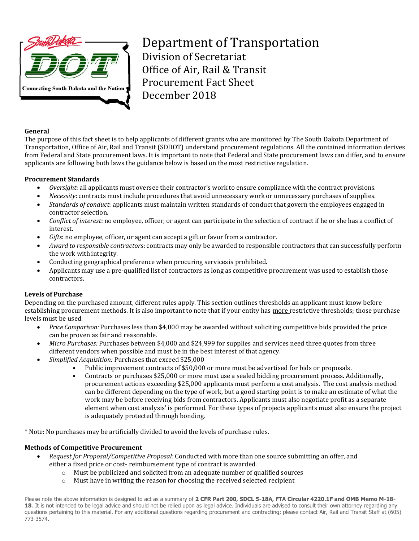

Department of Transportation Division of Secretariat Office of Air, Rail & Transit Procurement Fact Sheet December 2018

#### **General**

The purpose of this fact sheet is to help applicants of different grants who are monitored by The South Dakota Department of Transportation, Office of Air, Rail and Transit (SDDOT) understand procurement regulations. All the contained information derives from Federal and State procurement laws. It is important to note that Federal and State procurement laws can differ, and to ensure applicants are following both laws the guidance below is based on the most restrictive regulation.

#### **Procurement Standards**

- *Oversight*: all applicants must oversee their contractor's work to ensure compliance with the contract provisions.
- *Necessity*: contracts must include procedures that avoid unnecessary work or unnecessary purchases of supplies.
- *Standards of conduct*: applicants must maintain written standards of conduct that govern the employees engaged in contractor selection.
- *Conflict of interest*: no employee, officer, or agent can participate in the selection of contract if he or she has a conflict of interest.
- *Gifts*: no employee, officer, or agent can accept a gift or favor from a contractor.
- *Award to responsible contractors*: contracts may only be awarded to responsible contractors that can successfully perform the work with integrity.
- Conducting geographical preference when procuring services is prohibited.
- Applicants may use a pre-qualified list of contractors as long as competitive procurement was used to establish those contractors.

## **Levels of Purchase**

Depending on the purchased amount, different rules apply. This section outlines thresholds an applicant must know before establishing procurement methods. It is also important to note that if your entity has more restrictive thresholds; those purchase levels must be used.

- *Price Comparison:* Purchases less than \$4,000 may be awarded without soliciting competitive bids provided the price can be proven as fair and reasonable.
- *Micro Purchases:* Purchases between \$4,000 and \$24,999 for supplies and services need three quotes from three different vendors when possible and must be in the best interest of that agency.
- *Simplified Acquisition:* Purchases that exceed \$25,000
	- Public improvement contracts of \$50,000 or more must be advertised for bids or proposals.
	- Contracts or purchases \$25,000 or more must use a sealed bidding procurement process. Additionally, procurement actions exceeding \$25,000 applicants must perform a cost analysis. The cost analysis method can be different depending on the type of work, but a good starting point is to make an estimate of what the work may be before receiving bids from contractors. Applicants must also negotiate profit as a separate element when cost analysis' is performed. For these types of projects applicants must also ensure the project is adequately protected through bonding.

\* Note: No purchases may be artificially divided to avoid the levels of purchase rules.

#### **Methods of Competitive Procurement**

- *Request for Proposal/Competitive Proposal*: Conducted with more than one source submitting an offer, and either a fixed price or cost- reimbursement type of contract is awarded.
	- o Must be publicized and solicited from an adequate number of qualified sources
	- o Must have in writing the reason for choosing the received selected recipient

Please note the above information is designed to act as a summary of **2 CFR Part 200, SDCL 5-18A, FTA Circular 4220.1F and OMB Memo M-18-** 18. It is not intended to be legal advice and should not be relied upon as legal advice. Individuals are advised to consult their own attorney regarding any questions pertaining to this material. For any additional questions regarding procurement and contracting; please contact Air, Rail and Transit Staff at (605) 773-3574.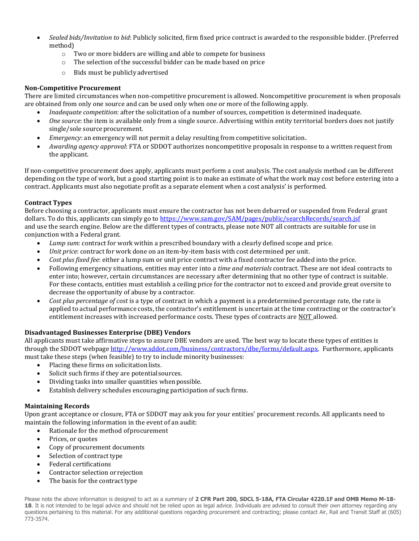- *Sealed bids/Invitation to bid*: Publicly solicited, firm fixed price contract is awarded to the responsible bidder. (Preferred method)
	- o Two or more bidders are willing and able to compete for business
	- o The selection of the successful bidder can be made based on price
	- o Bids must be publiclyadvertised

## **Non-Competitive Procurement**

There are limited circumstances when non-competitive procurement is allowed. Noncompetitive procurement is when proposals are obtained from only one source and can be used only when one or more of the following apply.

- *Inadequate competition*: after the solicitation of a number of sources, competition is determined inadequate.
- *One source*: the item is available only from a single source. Advertising within entity territorial borders does not justify single/sole source procurement.
- *Emergency*: an emergency will not permit a delay resulting from competitive solicitation.
- *Awarding agency approval*: FTA or SDDOT authorizes noncompetitive proposals in response to a written request from the applicant.

If non-competitive procurement does apply, applicants must perform a cost analysis. The cost analysis method can be different depending on the type of work, but a good starting point is to make an estimate of what the work may cost before entering into a contract. Applicants must also negotiate profit as a separate element when a cost analysis' is performed.

## **Contract Types**

Before choosing a contractor, applicants must ensure the contractor has not been debarred or suspended from Federal grant dollars. To do this, applicants can simply go to <https://www.sam.gov/SAM/pages/public/searchRecords/search.jsf> and use the search engine. Below are the different types of contracts, please note NOT all contracts are suitable for use in conjunction with a Federal grant.

- *Lump sum*: contract for work within a prescribed boundary with a clearly defined scope and price.
- *Unit price*: contract for work done on an item-by-item basis with cost determined per unit.
- *Cost plus fixed fee*: either a lump sum or unit price contract with a fixed contractor fee added into the price.
- Following emergency situations, entities may enter into a *time and materials* contract. These are not ideal contracts to enter into; however, certain circumstances are necessary after determining that no other type of contract is suitable. For these contacts, entities must establish a ceiling price for the contractor not to exceed and provide great oversite to decrease the opportunity of abuse by a contractor.
- *Cost plus percentage of cost* is a type of contract in which a payment is a predetermined percentage rate, the rate is applied to actual performance costs, the contractor's entitlement is uncertain at the time contracting or the contractor's entitlement increases with increased performance costs. These types of contracts are NOT allowed.

## **Disadvantaged Businesses Enterprise (DBE) Vendors**

All applicants must take affirmative steps to assure DBE vendors are used. The best way to locate these types of entities is through the SDDOT webpage [http://www.sddot.com/business/contractors/dbe/forms/default.aspx.](http://www.sddot.com/business/contractors/dbe/forms/default.aspx) Furthermore, applicants must take these steps (when feasible) to try to include minority businesses:

- Placing these firms on solicitation lists.
- Solicit such firms if they are potential sources.
- Dividing tasks into smaller quantities whenpossible.
- Establish delivery schedules encouraging participation of such firms.

# **Maintaining Records**

Upon grant acceptance or closure, FTA or SDDOT may ask you for your entities' procurement records. All applicants need to maintain the following information in the event of an audit:

- Rationale for the method of procurement
- Prices, or quotes
- Copy of procurement documents
- Selection of contract type
- Federal certifications
- Contractor selection or rejection
- The basis for the contract type

Please note the above information is designed to act as a summary of **2 CFR Part 200, SDCL 5-18A, FTA Circular 4220.1F and OMB Memo M-18-** 18. It is not intended to be legal advice and should not be relied upon as legal advice. Individuals are advised to consult their own attorney regarding any questions pertaining to this material. For any additional questions regarding procurement and contracting; please contact Air, Rail and Transit Staff at (605) 773-3574.